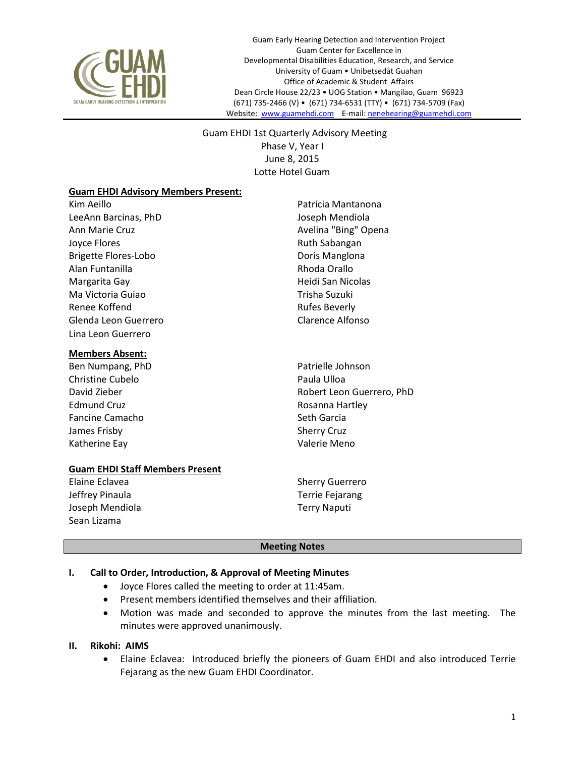

Guam Early Hearing Detection and Intervention Project Guam Center for Excellence in Developmental Disabilities Education, Research, and Service University of Guam • Unibetsedåt Guahan Office of Academic & Student Affairs Dean Circle House 22/23 • UOG Station • Mangilao, Guam 96923 (671) 735-2466 (V) • (671) 734-6531 (TTY) • (671) 734-5709 (Fax) Website: [www.guamehdi.com](http://www.guamehdi.com/) E-mail[: nenehearing@guamehdi.com](mailto:nenehearing@guamehdi.com)

 Guam EHDI 1st Quarterly Advisory Meeting Phase V, Year I June 8, 2015 Lotte Hotel Guam

### **Guam EHDI Advisory Members Present:**

Kim Aeillo **Patricia Mantanona** LeeAnn Barcinas, PhD Joseph Mendiola Ann Marie Cruz **Avelina "Bing"** Opena Joyce Flores **Ruth Sabangan** Brigette Flores-Lobo Doris Manglona Alan Funtanilla Rhoda Orallo Margarita Gay **Margarita Gay Communist Communist Communist Communist Communist Communist Communist Communist Communist Communist Communist Communist Communist Communist Communist Communist Communist Communist Communist Com** Ma Victoria Guiao **Trisha Suzuki** Renee Koffend **Rufes** Beverly Glenda Leon Guerrero Clarence Alfonso Lina Leon Guerrero

### **Members Absent:**

- Ben Numpang, PhD **Patricular Patricular** Patrielle Johnson Christine Cubelo **Paula Ulloa** Edmund Cruz **Rosanna Hartley** Fancine Camacho Seth Garcia James Frisby Sherry Cruz Katherine Eay **Valerie Meno**
- 
- David Zieber Robert Leon Guerrero, PhD

### **Guam EHDI Staff Members Present**

Elaine Eclavea **Sherry Guerrero** Jeffrey Pinaula Terrie Fejarang Joseph Mendiola Terry Naputi Sean Lizama

### **Meeting Notes**

# **I. Call to Order, Introduction, & Approval of Meeting Minutes**

- Joyce Flores called the meeting to order at 11:45am.
- Present members identified themselves and their affiliation.
- Motion was made and seconded to approve the minutes from the last meeting. The minutes were approved unanimously.

# **II. Rikohi: AIMS**

 Elaine Eclavea: Introduced briefly the pioneers of Guam EHDI and also introduced Terrie Fejarang as the new Guam EHDI Coordinator.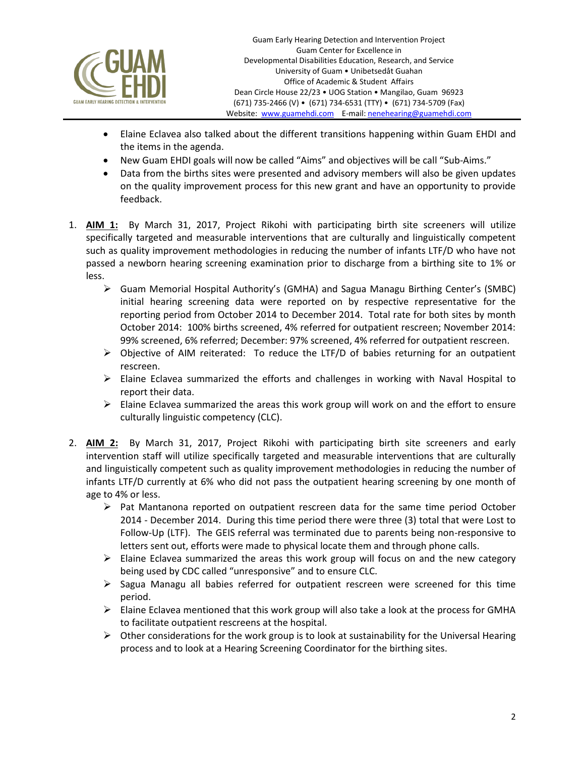

- Elaine Eclavea also talked about the different transitions happening within Guam EHDI and the items in the agenda.
- New Guam EHDI goals will now be called "Aims" and objectives will be call "Sub-Aims."
- Data from the births sites were presented and advisory members will also be given updates on the quality improvement process for this new grant and have an opportunity to provide feedback.
- 1. **AIM 1:** By March 31, 2017, Project Rikohi with participating birth site screeners will utilize specifically targeted and measurable interventions that are culturally and linguistically competent such as quality improvement methodologies in reducing the number of infants LTF/D who have not passed a newborn hearing screening examination prior to discharge from a birthing site to 1% or less.
	- Guam Memorial Hospital Authority's (GMHA) and Sagua Managu Birthing Center's (SMBC) initial hearing screening data were reported on by respective representative for the reporting period from October 2014 to December 2014. Total rate for both sites by month October 2014: 100% births screened, 4% referred for outpatient rescreen; November 2014: 99% screened, 6% referred; December: 97% screened, 4% referred for outpatient rescreen.
	- $\triangleright$  Objective of AIM reiterated: To reduce the LTF/D of babies returning for an outpatient rescreen.
	- $\triangleright$  Elaine Eclavea summarized the efforts and challenges in working with Naval Hospital to report their data.
	- $\triangleright$  Elaine Eclavea summarized the areas this work group will work on and the effort to ensure culturally linguistic competency (CLC).
- 2. **AIM 2:** By March 31, 2017, Project Rikohi with participating birth site screeners and early intervention staff will utilize specifically targeted and measurable interventions that are culturally and linguistically competent such as quality improvement methodologies in reducing the number of infants LTF/D currently at 6% who did not pass the outpatient hearing screening by one month of age to 4% or less.
	- $\triangleright$  Pat Mantanona reported on outpatient rescreen data for the same time period October 2014 - December 2014. During this time period there were three (3) total that were Lost to Follow-Up (LTF). The GEIS referral was terminated due to parents being non-responsive to letters sent out, efforts were made to physical locate them and through phone calls.
	- $\triangleright$  Elaine Eclavea summarized the areas this work group will focus on and the new category being used by CDC called "unresponsive" and to ensure CLC.
	- $\triangleright$  Sagua Managu all babies referred for outpatient rescreen were screened for this time period.
	- $\triangleright$  Elaine Eclavea mentioned that this work group will also take a look at the process for GMHA to facilitate outpatient rescreens at the hospital.
	- $\triangleright$  Other considerations for the work group is to look at sustainability for the Universal Hearing process and to look at a Hearing Screening Coordinator for the birthing sites.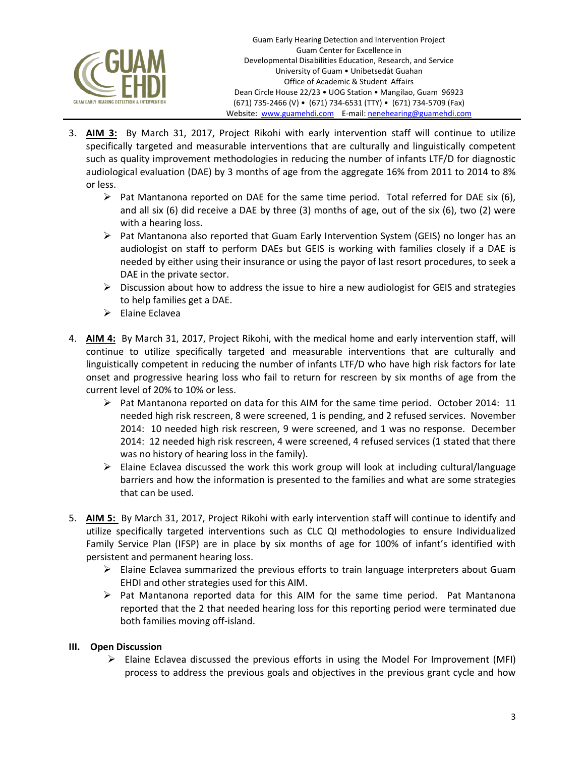

- 3. **AIM 3:** By March 31, 2017, Project Rikohi with early intervention staff will continue to utilize specifically targeted and measurable interventions that are culturally and linguistically competent such as quality improvement methodologies in reducing the number of infants LTF/D for diagnostic audiological evaluation (DAE) by 3 months of age from the aggregate 16% from 2011 to 2014 to 8% or less.
	- $\triangleright$  Pat Mantanona reported on DAE for the same time period. Total referred for DAE six (6), and all six (6) did receive a DAE by three (3) months of age, out of the six (6), two (2) were with a hearing loss.
	- Pat Mantanona also reported that Guam Early Intervention System (GEIS) no longer has an audiologist on staff to perform DAEs but GEIS is working with families closely if a DAE is needed by either using their insurance or using the payor of last resort procedures, to seek a DAE in the private sector.
	- $\triangleright$  Discussion about how to address the issue to hire a new audiologist for GEIS and strategies to help families get a DAE.
	- $\triangleright$  Elaine Eclavea
- 4. **AIM 4:** By March 31, 2017, Project Rikohi, with the medical home and early intervention staff, will continue to utilize specifically targeted and measurable interventions that are culturally and linguistically competent in reducing the number of infants LTF/D who have high risk factors for late onset and progressive hearing loss who fail to return for rescreen by six months of age from the current level of 20% to 10% or less.
	- $\triangleright$  Pat Mantanona reported on data for this AIM for the same time period. October 2014: 11 needed high risk rescreen, 8 were screened, 1 is pending, and 2 refused services. November 2014: 10 needed high risk rescreen, 9 were screened, and 1 was no response. December 2014: 12 needed high risk rescreen, 4 were screened, 4 refused services (1 stated that there was no history of hearing loss in the family).
	- $\triangleright$  Elaine Eclavea discussed the work this work group will look at including cultural/language barriers and how the information is presented to the families and what are some strategies that can be used.
- 5. **AIM 5:** By March 31, 2017, Project Rikohi with early intervention staff will continue to identify and utilize specifically targeted interventions such as CLC QI methodologies to ensure Individualized Family Service Plan (IFSP) are in place by six months of age for 100% of infant's identified with persistent and permanent hearing loss.
	- $\triangleright$  Elaine Eclavea summarized the previous efforts to train language interpreters about Guam EHDI and other strategies used for this AIM.
	- $\triangleright$  Pat Mantanona reported data for this AIM for the same time period. Pat Mantanona reported that the 2 that needed hearing loss for this reporting period were terminated due both families moving off-island.

# **III. Open Discussion**

 $\triangleright$  Elaine Eclavea discussed the previous efforts in using the Model For Improvement (MFI) process to address the previous goals and objectives in the previous grant cycle and how